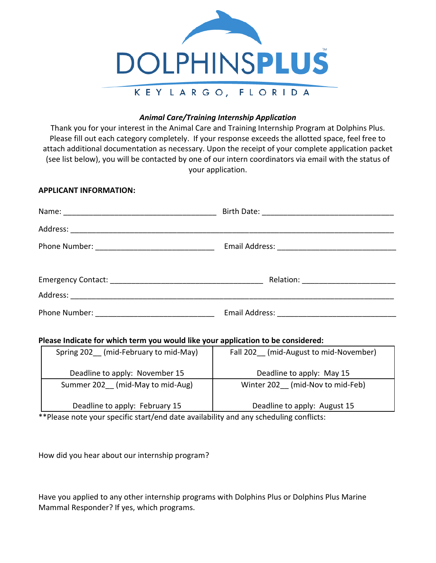

## *Animal Care/Training Internship Application*

Thank you for your interest in the Animal Care and Training Internship Program at Dolphins Plus. Please fill out each category completely. If your response exceeds the allotted space, feel free to attach additional documentation as necessary. Upon the receipt of your complete application packet (see list below), you will be contacted by one of our intern coordinators via email with the status of your application.

### **APPLICANT INFORMATION:**

### **Please Indicate for which term you would like your application to be considered:**

| Spring 202 (mid-February to mid-May) | Fall 202 (mid-August to mid-November) |  |  |
|--------------------------------------|---------------------------------------|--|--|
| Deadline to apply: November 15       | Deadline to apply: May 15             |  |  |
| Summer 202 (mid-May to mid-Aug)      | Winter 202 (mid-Nov to mid-Feb)       |  |  |
| Deadline to apply: February 15       | Deadline to apply: August 15          |  |  |

\*\*Please note your specific start/end date availability and any scheduling conflicts:

How did you hear about our internship program?

Have you applied to any other internship programs with Dolphins Plus or Dolphins Plus Marine Mammal Responder? If yes, which programs.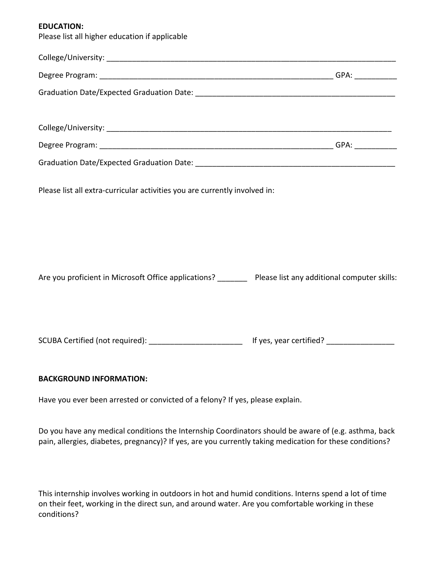### **EDUCATION:**

Please list all higher education if applicable

| Please list all extra-curricular activities you are currently involved in:                                    |  |
|---------------------------------------------------------------------------------------------------------------|--|
| Are you proficient in Microsoft Office applications? _________ Please list any additional computer skills:    |  |
| SCUBA Certified (not required): __________________________________ If yes, year certified? __________________ |  |
| <b>BACKGROUND INFORMATION:</b>                                                                                |  |

Have you ever been arrested or convicted of a felony? If yes, please explain.

Do you have any medical conditions the Internship Coordinators should be aware of (e.g. asthma, back pain, allergies, diabetes, pregnancy)? If yes, are you currently taking medication for these conditions?

This internship involves working in outdoors in hot and humid conditions. Interns spend a lot of time on their feet, working in the direct sun, and around water. Are you comfortable working in these conditions?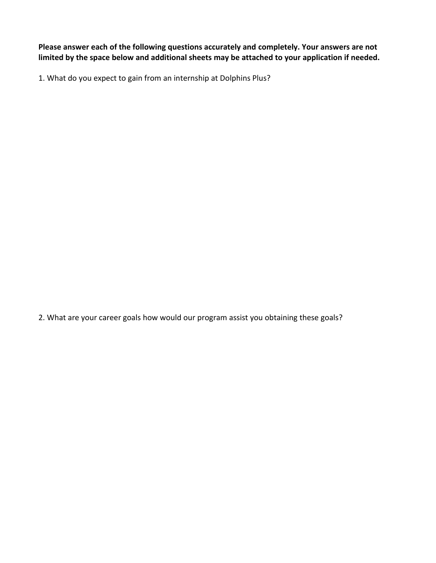**Please answer each of the following questions accurately and completely. Your answers are not limited by the space below and additional sheets may be attached to your application if needed.**

1. What do you expect to gain from an internship at Dolphins Plus?

2. What are your career goals how would our program assist you obtaining these goals?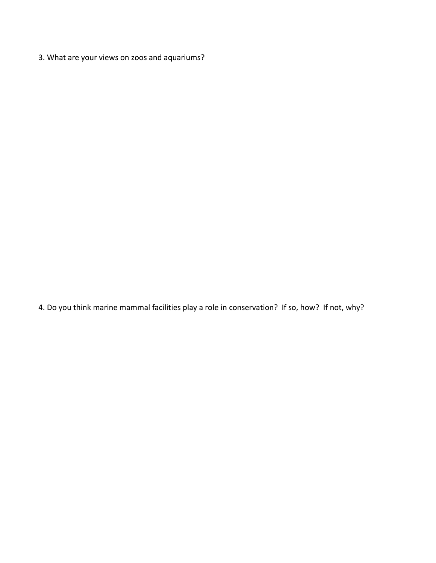3. What are your views on zoos and aquariums?

4. Do you think marine mammal facilities play a role in conservation? If so, how? If not, why?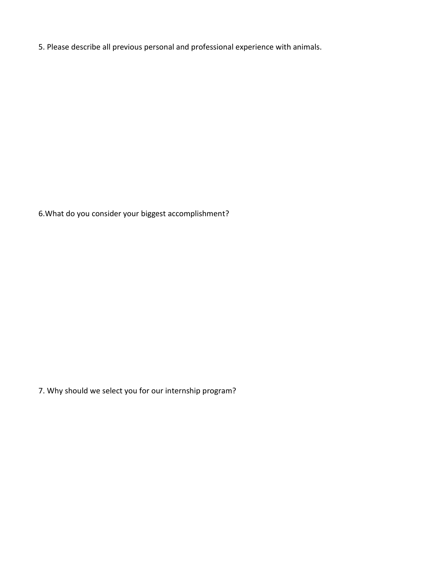5. Please describe all previous personal and professional experience with animals.

6.What do you consider your biggest accomplishment?

7. Why should we select you for our internship program?